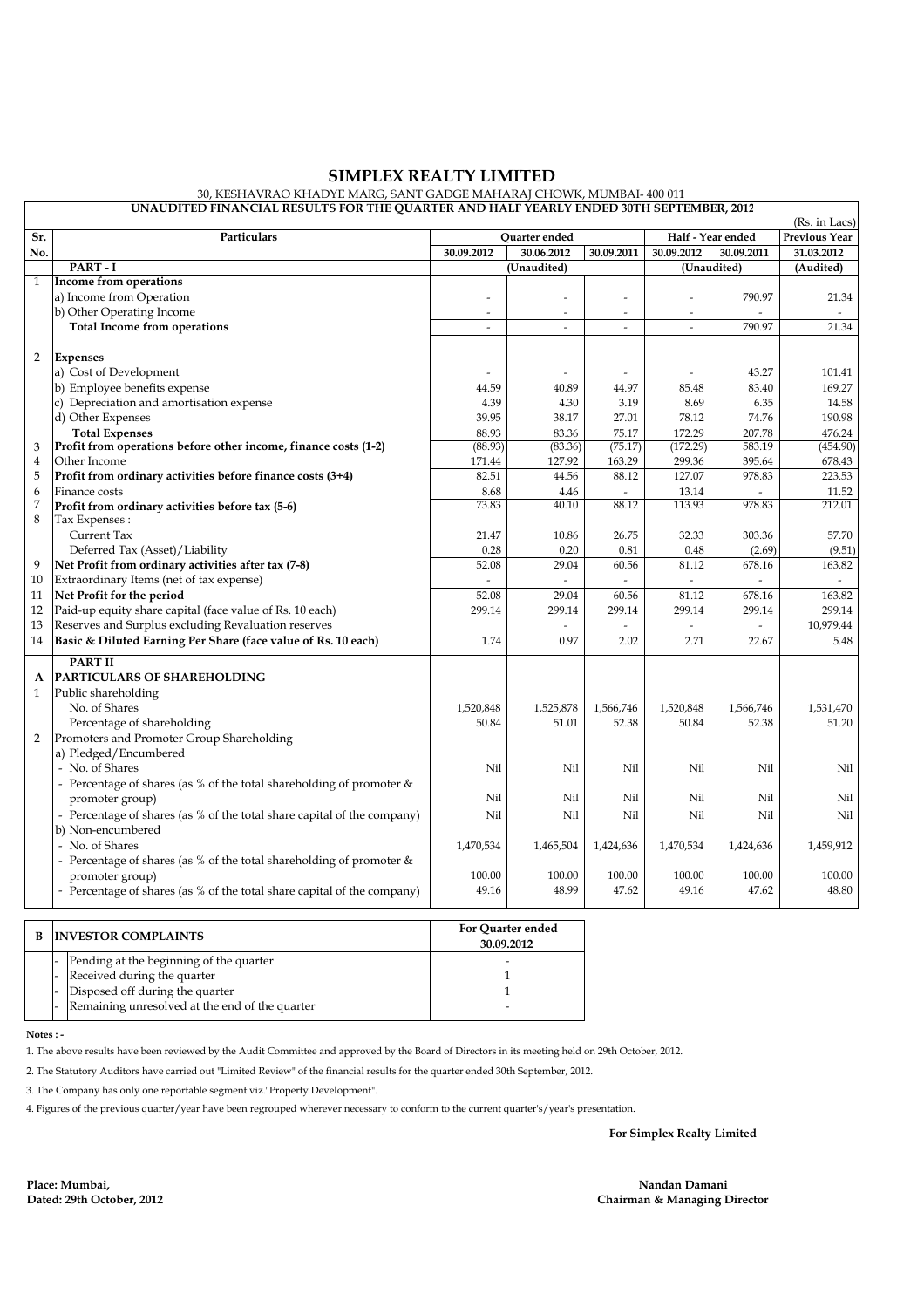## **SIMPLEX REALTY LIMITED**

## 30, KESHAVRAO KHADYE MARG, SANT GADGE MAHARAJ CHOWK, MUMBAI- 400 011

| UNAUDITED FINANCIAL RESULTS FOR THE QUARTER AND HALF YEARLY ENDED 30TH SEPTEMBER, 2012<br>(Rs. in Lacs) |                                                                         |                          |             |            |                          |             |               |  |
|---------------------------------------------------------------------------------------------------------|-------------------------------------------------------------------------|--------------------------|-------------|------------|--------------------------|-------------|---------------|--|
| Sr.                                                                                                     | Particulars                                                             | Quarter ended            |             |            | Half - Year ended        |             | Previous Year |  |
| No.                                                                                                     |                                                                         | 30.09.2012               | 30.06.2012  | 30.09.2011 | 30.09.2012               | 30.09.2011  | 31.03.2012    |  |
|                                                                                                         | PART-I                                                                  |                          | (Unaudited) |            |                          | (Unaudited) | (Audited)     |  |
| $\mathbf{1}$                                                                                            | <b>Income from operations</b>                                           |                          |             |            |                          |             |               |  |
|                                                                                                         | a) Income from Operation                                                |                          |             |            |                          | 790.97      | 21.34         |  |
|                                                                                                         | b) Other Operating Income                                               | $\overline{\phantom{a}}$ | L,          | $\sim$     | $\overline{\phantom{a}}$ |             |               |  |
|                                                                                                         | <b>Total Income from operations</b>                                     | $\overline{a}$           | ÷,          | $\sim$     | $\overline{a}$           | 790.97      | 21.34         |  |
|                                                                                                         |                                                                         |                          |             |            |                          |             |               |  |
| 2                                                                                                       | <b>Expenses</b>                                                         |                          |             |            |                          |             |               |  |
|                                                                                                         | a) Cost of Development                                                  |                          |             |            |                          | 43.27       | 101.41        |  |
|                                                                                                         | b) Employee benefits expense                                            | 44.59                    | 40.89       | 44.97      | 85.48                    | 83.40       | 169.27        |  |
|                                                                                                         | c) Depreciation and amortisation expense                                | 4.39                     | 4.30        | 3.19       | 8.69                     | 6.35        | 14.58         |  |
|                                                                                                         | d) Other Expenses                                                       | 39.95                    | 38.17       | 27.01      | 78.12                    | 74.76       | 190.98        |  |
|                                                                                                         | <b>Total Expenses</b>                                                   | 88.93                    | 83.36       | 75.17      | 172.29                   | 207.78      | 476.24        |  |
| 3                                                                                                       | Profit from operations before other income, finance costs (1-2)         | (88.93)                  | (83.36)     | (75.17)    | (172.29)                 | 583.19      | (454.90)      |  |
| $\overline{4}$                                                                                          | Other Income                                                            | 171.44                   | 127.92      | 163.29     | 299.36                   | 395.64      | 678.43        |  |
| 5                                                                                                       | Profit from ordinary activities before finance costs (3+4)              | 82.51                    | 44.56       | 88.12      | 127.07                   | 978.83      | 223.53        |  |
| 6                                                                                                       | Finance costs                                                           | 8.68                     | 4.46        | $\sim$     | 13.14                    |             | 11.52         |  |
| 7                                                                                                       | Profit from ordinary activities before tax (5-6)                        | 73.83                    | 40.10       | 88.12      | 113.93                   | 978.83      | 212.01        |  |
| 8                                                                                                       | Tax Expenses :                                                          |                          |             |            |                          |             |               |  |
|                                                                                                         | Current Tax                                                             | 21.47                    | 10.86       | 26.75      | 32.33                    | 303.36      | 57.70         |  |
|                                                                                                         | Deferred Tax (Asset)/Liability                                          | 0.28                     | 0.20        | 0.81       | 0.48                     | (2.69)      | (9.51)        |  |
| 9                                                                                                       | Net Profit from ordinary activities after tax (7-8)                     | 52.08                    | 29.04       | 60.56      | 81.12                    | 678.16      | 163.82        |  |
| 10                                                                                                      | Extraordinary Items (net of tax expense)                                |                          | Ξ           |            | $\overline{\phantom{a}}$ |             |               |  |
| 11                                                                                                      | Net Profit for the period                                               | 52.08                    | 29.04       | 60.56      | 81.12                    | 678.16      | 163.82        |  |
| 12                                                                                                      | Paid-up equity share capital (face value of Rs. 10 each)                | 299.14                   | 299.14      | 299.14     | 299.14                   | 299.14      | 299.14        |  |
| 13                                                                                                      | Reserves and Surplus excluding Revaluation reserves                     |                          |             |            |                          |             | 10,979.44     |  |
| 14                                                                                                      | Basic & Diluted Earning Per Share (face value of Rs. 10 each)           | 1.74                     | 0.97        | 2.02       | 2.71                     | 22.67       | 5.48          |  |
|                                                                                                         | <b>PART II</b>                                                          |                          |             |            |                          |             |               |  |
| A                                                                                                       | PARTICULARS OF SHAREHOLDING                                             |                          |             |            |                          |             |               |  |
| $\mathbf{1}$                                                                                            | Public shareholding                                                     |                          |             |            |                          |             |               |  |
|                                                                                                         | No. of Shares                                                           | 1,520,848                | 1,525,878   | 1,566,746  | 1,520,848                | 1,566,746   | 1,531,470     |  |
|                                                                                                         | Percentage of shareholding                                              | 50.84                    | 51.01       | 52.38      | 50.84                    | 52.38       | 51.20         |  |
| 2                                                                                                       | Promoters and Promoter Group Shareholding                               |                          |             |            |                          |             |               |  |
|                                                                                                         | a) Pledged/Encumbered                                                   |                          |             |            |                          |             |               |  |
|                                                                                                         | - No. of Shares                                                         | Nil                      | Nil         | Nil        | Nil                      | Nil         | Nil           |  |
|                                                                                                         | - Percentage of shares (as % of the total shareholding of promoter $\&$ |                          |             |            |                          |             |               |  |
|                                                                                                         | promoter group)                                                         | Nil                      | Nil         | Nil        | Nil                      | Nil         | Nil           |  |
|                                                                                                         | - Percentage of shares (as % of the total share capital of the company) | Nil                      | Nil         | Nil        | Nil                      | Nil         | Nil           |  |
|                                                                                                         | b) Non-encumbered                                                       |                          |             |            |                          |             |               |  |
|                                                                                                         | - No. of Shares                                                         | 1,470,534                | 1,465,504   | 1,424,636  | 1,470,534                | 1,424,636   | 1,459,912     |  |
|                                                                                                         | - Percentage of shares (as % of the total shareholding of promoter $\&$ |                          |             |            |                          |             |               |  |
|                                                                                                         | promoter group)                                                         | 100.00                   | 100.00      | 100.00     | 100.00                   | 100.00      | 100.00        |  |
|                                                                                                         | - Percentage of shares (as % of the total share capital of the company) | 49.16                    | 48.99       | 47.62      | 49.16                    | 47.62       | 48.80         |  |
|                                                                                                         |                                                                         |                          |             |            |                          |             |               |  |

| <b>INVESTOR COMPLAINTS</b>                       | For Ouarter ended<br>30.09.2012 |  |  |
|--------------------------------------------------|---------------------------------|--|--|
| - Pending at the beginning of the quarter        |                                 |  |  |
| - Received during the quarter                    |                                 |  |  |
| - Disposed off during the quarter                |                                 |  |  |
| - Remaining unresolved at the end of the quarter |                                 |  |  |

 **Notes : -**

1. The above results have been reviewed by the Audit Committee and approved by the Board of Directors in its meeting held on 29th October, 2012.

2. The Statutory Auditors have carried out "Limited Review" of the financial results for the quarter ended 30th September, 2012.

3. The Company has only one reportable segment viz."Property Development".

4. Figures of the previous quarter/year have been regrouped wherever necessary to conform to the current quarter's/year's presentation.

**For Simplex Realty Limited**

**Nandan Damani Chairman & Managing Director**